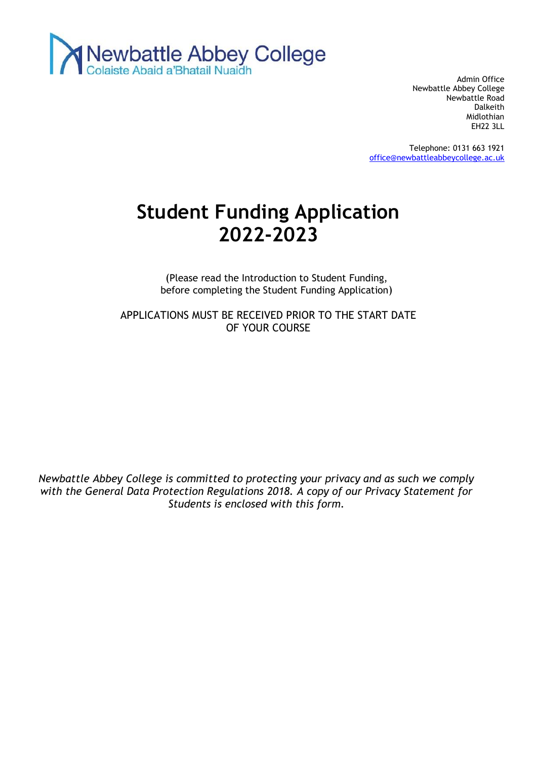

Admin Office Newbattle Abbey College Newbattle Road Dalkeith Midlothian EH22 3LL

Telephone: 0131 663 1921 [office@newbattleabbeycollege.ac.uk](mailto:office@newbattleabbeycollege.ac.uk)

# **Student Funding Application 2022-2023**

(Please read the Introduction to Student Funding, before completing the Student Funding Application)

APPLICATIONS MUST BE RECEIVED PRIOR TO THE START DATE OF YOUR COURSE

*Newbattle Abbey College is committed to protecting your privacy and as such we comply with the General Data Protection Regulations 2018. A copy of our Privacy Statement for Students is enclosed with this form.*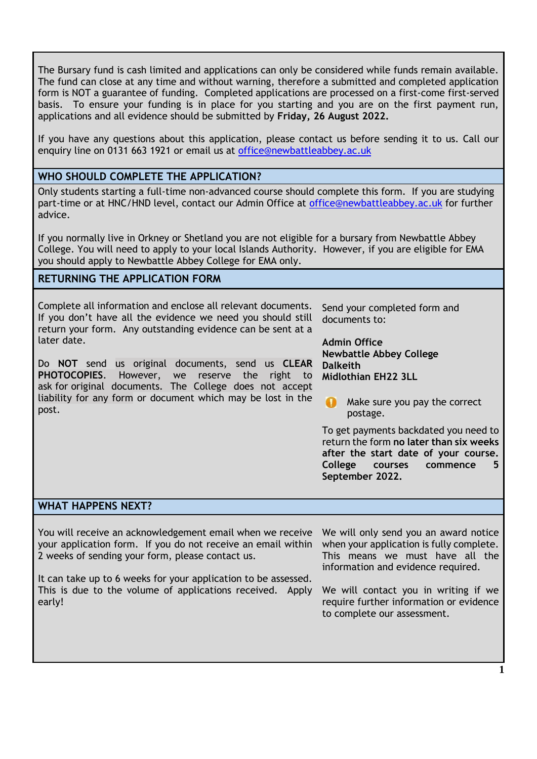The Bursary fund is cash limited and applications can only be considered while funds remain available. The fund can close at any time and without warning, therefore a submitted and completed application form is NOT a guarantee of funding. Completed applications are processed on a first-come first-served basis. To ensure your funding is in place for you starting and you are on the first payment run, applications and all evidence should be submitted by **Friday, 26 August 2022.**

If you have any questions about this application, please contact us before sending it to us. Call our enquiry line on 0131 663 1921 or email us at [office@newbattleabbey.ac.uk](mailto:office@newbattleabbey.ac.uk)

#### **WHO SHOULD COMPLETE THE APPLICATION?**

Only students starting a full-time non-advanced course should complete this form. If you are studying part-time or at HNC/HND level, contact our Admin Office at [office@newbattleabbey.ac.uk](mailto:office@newbattleabbey.ac.uk) for further advice.

If you normally live in Orkney or Shetland you are not eligible for a bursary from Newbattle Abbey College. You will need to apply to your local Islands Authority. However, if you are eligible for EMA you should apply to Newbattle Abbey College for EMA only.

#### **RETURNING THE APPLICATION FORM**

Complete all information and enclose all relevant documents. If you don't have all the evidence we need you should still return your form. Any outstanding evidence can be sent at a later date.

Do **NOT** send us original documents, send us **CLEAR PHOTOCOPIES**. However, we reserve the right to ask for original documents*.* The College does not accept liability for any form or document which may be lost in the post.

Send your completed form and documents to:

**Admin Office Newbattle Abbey College Dalkeith Midlothian EH22 3LL**

Make sure you pay the correct postage.

To get payments backdated you need to return the form **no later than six weeks after the start date of your course. College courses commence 5 September 2022.**

#### **WHAT HAPPENS NEXT?**

You will receive an acknowledgement email when we receive your application form. If you do not receive an email within 2 weeks of sending your form, please contact us.

It can take up to 6 weeks for your application to be assessed. This is due to the volume of applications received. Apply early!

We will only send you an award notice when your application is fully complete. This means we must have all the information and evidence required.

We will contact you in writing if we require further information or evidence to complete our assessment.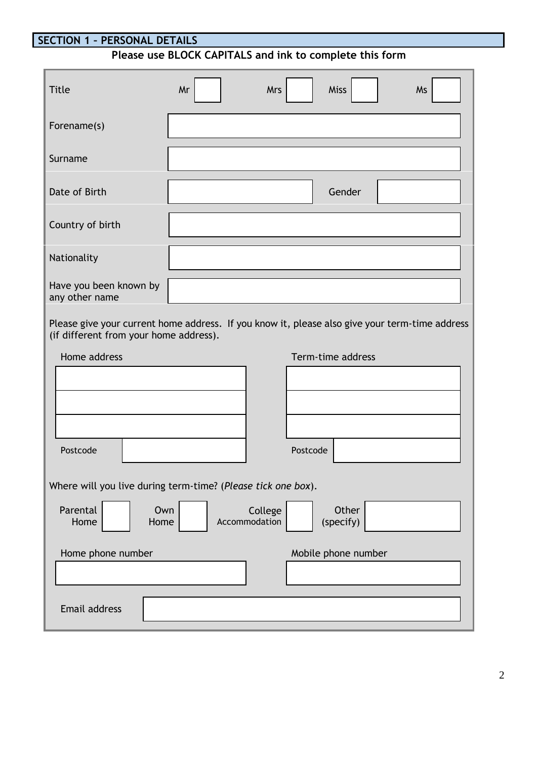# **SECTION 1 – PERSONAL DETAILS**

# **Please use BLOCK CAPITALS and ink to complete this form**

| <b>Title</b>                                                                                                                             | Mr | <b>Mrs</b>               |                   | <b>Miss</b>         | Ms |  |
|------------------------------------------------------------------------------------------------------------------------------------------|----|--------------------------|-------------------|---------------------|----|--|
| Forename(s)                                                                                                                              |    |                          |                   |                     |    |  |
| Surname                                                                                                                                  |    |                          |                   |                     |    |  |
| Date of Birth                                                                                                                            |    |                          |                   | Gender              |    |  |
| Country of birth                                                                                                                         |    |                          |                   |                     |    |  |
| Nationality                                                                                                                              |    |                          |                   |                     |    |  |
| Have you been known by<br>any other name                                                                                                 |    |                          |                   |                     |    |  |
| Please give your current home address. If you know it, please also give your term-time address<br>(if different from your home address). |    |                          |                   |                     |    |  |
| Home address                                                                                                                             |    |                          | Term-time address |                     |    |  |
|                                                                                                                                          |    |                          |                   |                     |    |  |
|                                                                                                                                          |    |                          |                   |                     |    |  |
|                                                                                                                                          |    |                          |                   |                     |    |  |
|                                                                                                                                          |    |                          |                   |                     |    |  |
| Postcode                                                                                                                                 |    |                          | Postcode          |                     |    |  |
| Where will you live during term-time? (Please tick one box).                                                                             |    |                          |                   |                     |    |  |
| Parental<br>Own<br>Home<br>Home                                                                                                          |    | College<br>Accommodation |                   | Other<br>(specify)  |    |  |
| Home phone number                                                                                                                        |    |                          |                   | Mobile phone number |    |  |
|                                                                                                                                          |    |                          |                   |                     |    |  |
|                                                                                                                                          |    |                          |                   |                     |    |  |
| Email address                                                                                                                            |    |                          |                   |                     |    |  |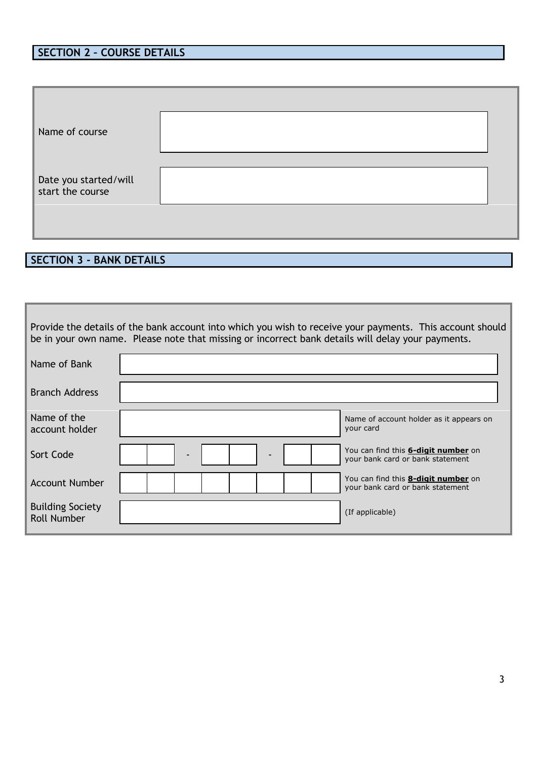# **SECTION 2 – COURSE DETAILS**

| Name of course                            |  |
|-------------------------------------------|--|
| Date you started/will<br>start the course |  |

# **SECTION 3 - BANK DETAILS**

| Provide the details of the bank account into which you wish to receive your payments. This account should<br>be in your own name. Please note that missing or incorrect bank details will delay your payments. |  |                                                                                |  |  |  |  |
|----------------------------------------------------------------------------------------------------------------------------------------------------------------------------------------------------------------|--|--------------------------------------------------------------------------------|--|--|--|--|
| Name of Bank                                                                                                                                                                                                   |  |                                                                                |  |  |  |  |
| <b>Branch Address</b>                                                                                                                                                                                          |  |                                                                                |  |  |  |  |
| Name of the<br>account holder                                                                                                                                                                                  |  | Name of account holder as it appears on<br>your card                           |  |  |  |  |
| Sort Code                                                                                                                                                                                                      |  | You can find this <b>6-digit number</b> on<br>your bank card or bank statement |  |  |  |  |
| <b>Account Number</b>                                                                                                                                                                                          |  | You can find this <b>8-digit number</b> on<br>your bank card or bank statement |  |  |  |  |
| <b>Building Society</b><br><b>Roll Number</b>                                                                                                                                                                  |  | (If applicable)                                                                |  |  |  |  |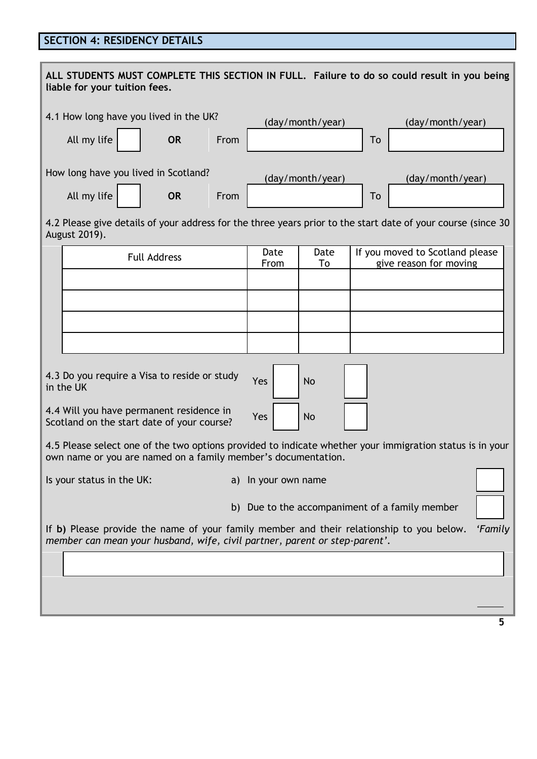### **SECTION 4: RESIDENCY DETAILS**

| ALL STUDENTS MUST COMPLETE THIS SECTION IN FULL. Failure to do so could result in you being<br>liable for your tuition fees.                                                      |                                                                                        |           |      |                     |                  |                                                                                                              |
|-----------------------------------------------------------------------------------------------------------------------------------------------------------------------------------|----------------------------------------------------------------------------------------|-----------|------|---------------------|------------------|--------------------------------------------------------------------------------------------------------------|
|                                                                                                                                                                                   | 4.1 How long have you lived in the UK?                                                 |           |      |                     | (day/month/year) | (day/month/year)                                                                                             |
|                                                                                                                                                                                   | All my life                                                                            | <b>OR</b> | From |                     |                  | To                                                                                                           |
|                                                                                                                                                                                   | How long have you lived in Scotland?                                                   |           |      |                     | (day/month/year) | (day/month/year)                                                                                             |
|                                                                                                                                                                                   | All my life                                                                            | <b>OR</b> | From |                     |                  | To                                                                                                           |
|                                                                                                                                                                                   | August 2019).                                                                          |           |      |                     |                  | 4.2 Please give details of your address for the three years prior to the start date of your course (since 30 |
|                                                                                                                                                                                   | <b>Full Address</b>                                                                    |           |      | Date                | Date             | If you moved to Scotland please                                                                              |
|                                                                                                                                                                                   |                                                                                        |           |      | From                | To               | give reason for moving                                                                                       |
|                                                                                                                                                                                   |                                                                                        |           |      |                     |                  |                                                                                                              |
|                                                                                                                                                                                   |                                                                                        |           |      |                     |                  |                                                                                                              |
|                                                                                                                                                                                   |                                                                                        |           |      |                     |                  |                                                                                                              |
|                                                                                                                                                                                   |                                                                                        |           |      |                     |                  |                                                                                                              |
|                                                                                                                                                                                   | 4.3 Do you require a Visa to reside or study<br>in the UK                              |           |      | Yes                 | <b>No</b>        |                                                                                                              |
|                                                                                                                                                                                   | 4.4 Will you have permanent residence in<br>Scotland on the start date of your course? |           |      | Yes                 | <b>No</b>        |                                                                                                              |
|                                                                                                                                                                                   | own name or you are named on a family member's documentation.                          |           |      |                     |                  | 4.5 Please select one of the two options provided to indicate whether your immigration status is in your     |
|                                                                                                                                                                                   | Is your status in the UK:                                                              |           |      | a) In your own name |                  |                                                                                                              |
|                                                                                                                                                                                   |                                                                                        |           |      |                     |                  | b) Due to the accompaniment of a family member                                                               |
| If b) Please provide the name of your family member and their relationship to you below.<br>'Family<br>member can mean your husband, wife, civil partner, parent or step-parent'. |                                                                                        |           |      |                     |                  |                                                                                                              |
|                                                                                                                                                                                   |                                                                                        |           |      |                     |                  |                                                                                                              |
|                                                                                                                                                                                   |                                                                                        |           |      |                     |                  |                                                                                                              |
|                                                                                                                                                                                   |                                                                                        |           |      |                     |                  |                                                                                                              |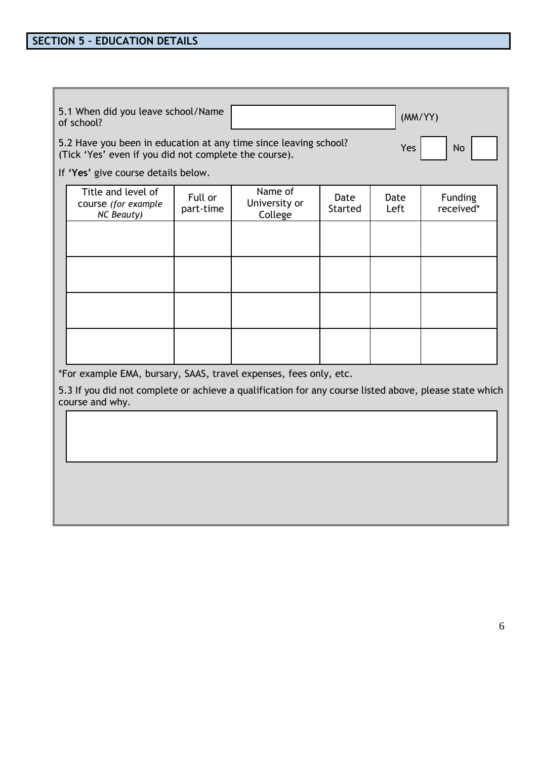|                                                                                                                           | 5.1 When did you leave school/Name<br>of school?                                                                          |                      |                                     |                        | (MM/YY)      |                      |
|---------------------------------------------------------------------------------------------------------------------------|---------------------------------------------------------------------------------------------------------------------------|----------------------|-------------------------------------|------------------------|--------------|----------------------|
| 5.2 Have you been in education at any time since leaving school?<br>(Tick 'Yes' even if you did not complete the course). |                                                                                                                           |                      |                                     |                        | Yes          | <b>No</b>            |
|                                                                                                                           | If 'Yes' give course details below.                                                                                       |                      |                                     |                        |              |                      |
|                                                                                                                           | Title and level of<br>course (for example<br><b>NC Beauty)</b>                                                            | Full or<br>part-time | Name of<br>University or<br>College | Date<br><b>Started</b> | Date<br>Left | Funding<br>received* |
|                                                                                                                           |                                                                                                                           |                      |                                     |                        |              |                      |
|                                                                                                                           |                                                                                                                           |                      |                                     |                        |              |                      |
|                                                                                                                           |                                                                                                                           |                      |                                     |                        |              |                      |
|                                                                                                                           |                                                                                                                           |                      |                                     |                        |              |                      |
| *For example EMA, bursary, SAAS, travel expenses, fees only, etc.                                                         |                                                                                                                           |                      |                                     |                        |              |                      |
|                                                                                                                           | 5.3 If you did not complete or achieve a qualification for any course listed above, please state which<br>course and why. |                      |                                     |                        |              |                      |
|                                                                                                                           |                                                                                                                           |                      |                                     |                        |              |                      |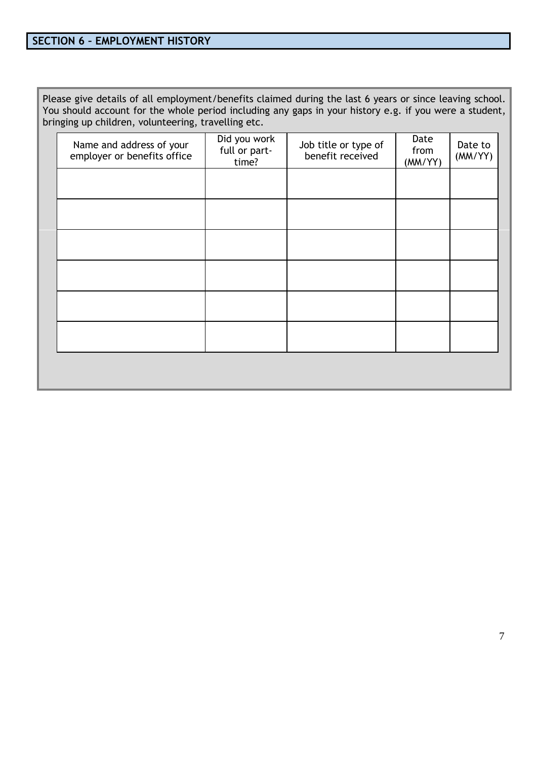Please give details of all employment/benefits claimed during the last 6 years or since leaving school. You should account for the whole period including any gaps in your history e.g. if you were a student, bringing up children, volunteering, travelling etc.

| Name and address of your<br>employer or benefits office | Did you work<br>full or part-<br>time? | Job title or type of<br>benefit received | Date<br>from<br>(MM/YY) | Date to<br>(MM/YY) |
|---------------------------------------------------------|----------------------------------------|------------------------------------------|-------------------------|--------------------|
|                                                         |                                        |                                          |                         |                    |
|                                                         |                                        |                                          |                         |                    |
|                                                         |                                        |                                          |                         |                    |
|                                                         |                                        |                                          |                         |                    |
|                                                         |                                        |                                          |                         |                    |
|                                                         |                                        |                                          |                         |                    |
|                                                         |                                        |                                          |                         |                    |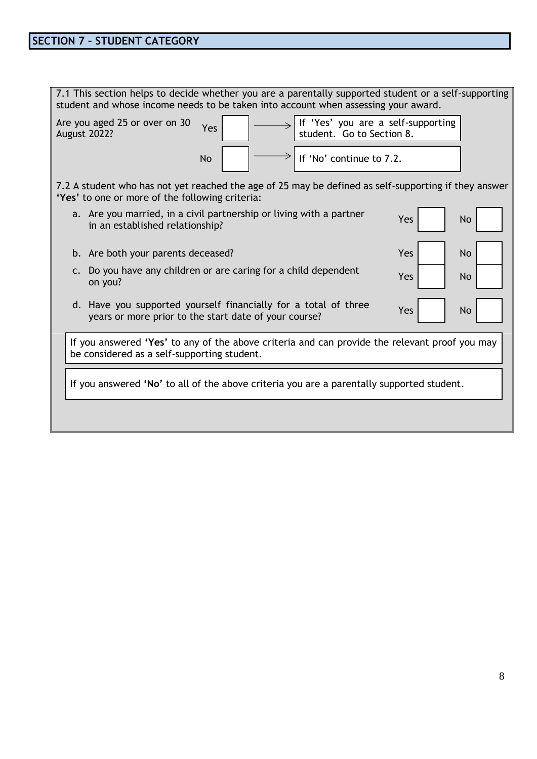| If 'Yes' you are a self-supporting<br>Are you aged 25 or over on 30<br>Yes<br>student. Go to Section 8.<br><b>August 2022?</b>                          |  |  |  |  |  |  |
|---------------------------------------------------------------------------------------------------------------------------------------------------------|--|--|--|--|--|--|
| If 'No' continue to 7.2.<br><b>No</b>                                                                                                                   |  |  |  |  |  |  |
| 7.2 A student who has not yet reached the age of 25 may be defined as self-supporting if they answer<br>'Yes' to one or more of the following criteria: |  |  |  |  |  |  |
| a. Are you married, in a civil partnership or living with a partner<br>Yes<br>No<br>in an established relationship?                                     |  |  |  |  |  |  |
| <b>No</b><br>b. Are both your parents deceased?<br>Yes                                                                                                  |  |  |  |  |  |  |
| c. Do you have any children or are caring for a child dependent<br>Yes<br><b>No</b><br>on you?                                                          |  |  |  |  |  |  |
| d. Have you supported yourself financially for a total of three<br>Yes<br>No<br>years or more prior to the start date of your course?                   |  |  |  |  |  |  |
| If you answered 'Yes' to any of the above criteria and can provide the relevant proof you may<br>be considered as a self-supporting student.            |  |  |  |  |  |  |
| If you answered 'No' to all of the above criteria you are a parentally supported student.                                                               |  |  |  |  |  |  |
|                                                                                                                                                         |  |  |  |  |  |  |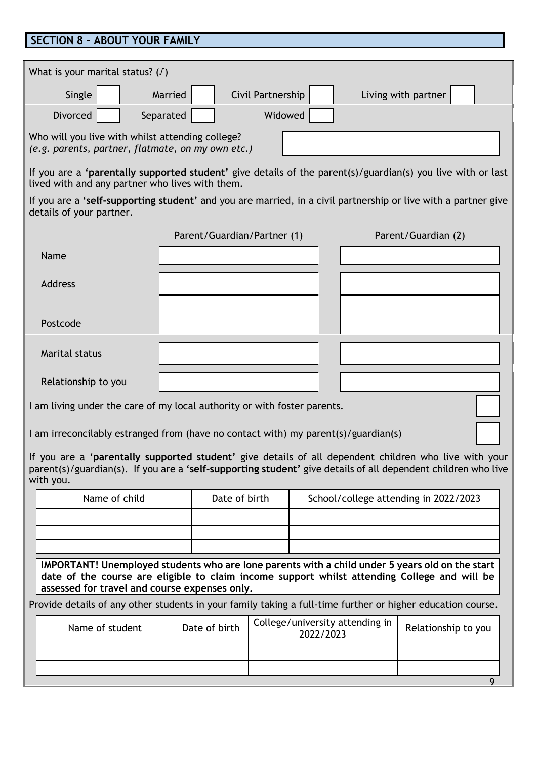#### **SECTION 8 – ABOUT YOUR FAMILY**

details of your partner.

| What is your marital status? $(J)$                                                                          |  |  |  |  |  |
|-------------------------------------------------------------------------------------------------------------|--|--|--|--|--|
| Civil Partnership<br>Living with partner<br>Married<br>Single                                               |  |  |  |  |  |
| <b>Divorced</b><br>Widowed<br>Separated                                                                     |  |  |  |  |  |
| Who will you live with whilst attending college?<br>(e.g. parents, partner, flatmate, on my own etc.)       |  |  |  |  |  |
| If you are a 'parentally supported student' give details of the parent(s)/guardian(s) you live with or last |  |  |  |  |  |

lived with and any partner who lives with them. If you are a **'self-supporting student'** and you are married, in a civil partnership or live with a partner give

|                     | Parent/Guardian/Partner (1) | Parent/Guardian (2) |
|---------------------|-----------------------------|---------------------|
| Name                |                             |                     |
| Address             |                             |                     |
|                     |                             |                     |
| Postcode            |                             |                     |
| Marital status      |                             |                     |
| Relationship to you |                             |                     |

I am living under the care of my local authority or with foster parents.

I am irreconcilably estranged from (have no contact with) my parent(s)/guardian(s)

If you are a '**parentally supported student'** give details of all dependent children who live with your parent(s)/guardian(s). If you are a **'self-supporting student'** give details of all dependent children who live with you.

| Name of child | Date of birth | School/college attending in 2022/2023 |
|---------------|---------------|---------------------------------------|
|               |               |                                       |
|               |               |                                       |
|               |               |                                       |

**IMPORTANT! Unemployed students who are lone parents with a child under 5 years old on the start date of the course are eligible to claim income support whilst attending College and will be assessed for travel and course expenses only.**

Provide details of any other students in your family taking a full-time further or higher education course.

| Name of student | Date of birth | College/university attending in  <br>2022/2023 | Relationship to you |
|-----------------|---------------|------------------------------------------------|---------------------|
|                 |               |                                                |                     |
|                 |               |                                                |                     |
|                 |               |                                                |                     |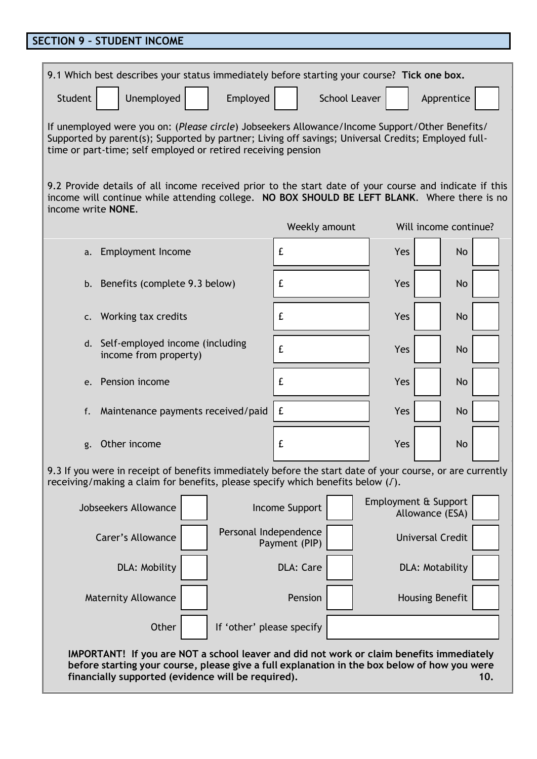# **SECTION 9 – STUDENT INCOME**

| 9.1 Which best describes your status immediately before starting your course? Tick one box.                                                                                                                                                                            |                |                                         |                       |  |  |  |  |
|------------------------------------------------------------------------------------------------------------------------------------------------------------------------------------------------------------------------------------------------------------------------|----------------|-----------------------------------------|-----------------------|--|--|--|--|
| Unemployed<br>Student<br>Employed<br><b>School Leaver</b><br>Apprentice                                                                                                                                                                                                |                |                                         |                       |  |  |  |  |
| If unemployed were you on: (Please circle) Jobseekers Allowance/Income Support/Other Benefits/<br>Supported by parent(s); Supported by partner; Living off savings; Universal Credits; Employed full-<br>time or part-time; self employed or retired receiving pension |                |                                         |                       |  |  |  |  |
| 9.2 Provide details of all income received prior to the start date of your course and indicate if this<br>income will continue while attending college. NO BOX SHOULD BE LEFT BLANK. Where there is no<br>income write <b>NONE</b> .                                   |                |                                         |                       |  |  |  |  |
|                                                                                                                                                                                                                                                                        | Weekly amount  |                                         | Will income continue? |  |  |  |  |
| Employment Income<br>a.                                                                                                                                                                                                                                                | £              | Yes                                     | <b>No</b>             |  |  |  |  |
| b. Benefits (complete 9.3 below)                                                                                                                                                                                                                                       | £              | Yes                                     | No                    |  |  |  |  |
| Working tax credits<br>$\mathsf{C}$ .                                                                                                                                                                                                                                  | £              | Yes                                     | No                    |  |  |  |  |
| d. Self-employed income (including<br>income from property)                                                                                                                                                                                                            | £              | Yes                                     | No                    |  |  |  |  |
| Pension income<br>e.                                                                                                                                                                                                                                                   | £              | Yes                                     | No                    |  |  |  |  |
| Maintenance payments received/paid<br>f.                                                                                                                                                                                                                               | £              | Yes                                     | No                    |  |  |  |  |
| Other income<br>g.                                                                                                                                                                                                                                                     | £              | Yes                                     | No                    |  |  |  |  |
| 9.3 If you were in receipt of benefits immediately before the start date of your course, or are currently<br>receiving/making a claim for benefits, please specify which benefits below (J).                                                                           |                |                                         |                       |  |  |  |  |
| Jobseekers Allowance                                                                                                                                                                                                                                                   | Income Support | Employment & Support<br>Allowance (ESA) |                       |  |  |  |  |
| Personal Independence<br>Carer's Allowance                                                                                                                                                                                                                             | Payment (PIP)  | <b>Universal Credit</b>                 |                       |  |  |  |  |
| <b>DLA: Care</b><br>DLA: Mobility<br>DLA: Motability                                                                                                                                                                                                                   |                |                                         |                       |  |  |  |  |
| <b>Maternity Allowance</b><br>Pension<br>Housing Benefit                                                                                                                                                                                                               |                |                                         |                       |  |  |  |  |
| Other<br>If 'other' please specify                                                                                                                                                                                                                                     |                |                                         |                       |  |  |  |  |
| IMPORTANT! If you are NOT a school leaver and did not work or claim benefits immediately<br>before starting your course, please give a full explanation in the box below of how you were<br>financially supported (evidence will be required).                         |                |                                         | 10.                   |  |  |  |  |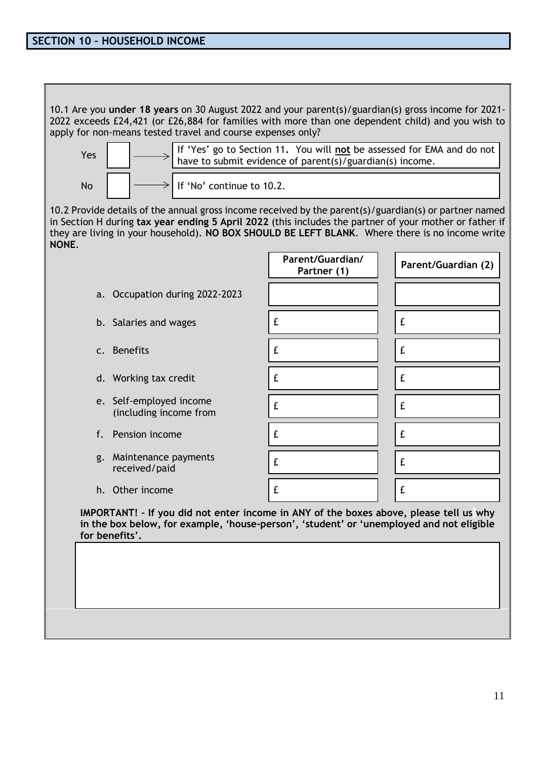10.1 Are you **under 18 years** on 30 August 2022 and your parent(s)/guardian(s) gross income for 2021- 2022 exceeds £24,421 (or £26,884 for families with more than one dependent child) and you wish to apply for non-means tested travel and course expenses only?



10.2 Provide details of the annual gross income received by the parent(s)/guardian(s) or partner named in Section H during **tax year ending 5 April 2022** (this includes the partner of your mother or father if they are living in your household). **NO BOX SHOULD BE LEFT BLANK**. Where there is no income write **NONE**.

- a. Occupation during 2022-2023
	- b. Salaries and wages
	- c. Benefits
	- d. Working tax credit
	- e. Self-employed income (including income from
	- f. Pension income
	- g. Maintenance payments received/paid
	- h. Other income

| Parent/Guardian/<br>Partner (1) | Parent/Guardian (2) |
|---------------------------------|---------------------|
|                                 |                     |
| £                               | £                   |
| £                               | £                   |
| £                               | £                   |
| £                               | £                   |
| £                               | £                   |
| £                               | £                   |
| £                               | £                   |

**IMPORTANT! – If you did not enter income in ANY of the boxes above, please tell us why in the box below, for example, 'house-person', 'student' or 'unemployed and not eligible for benefits'.**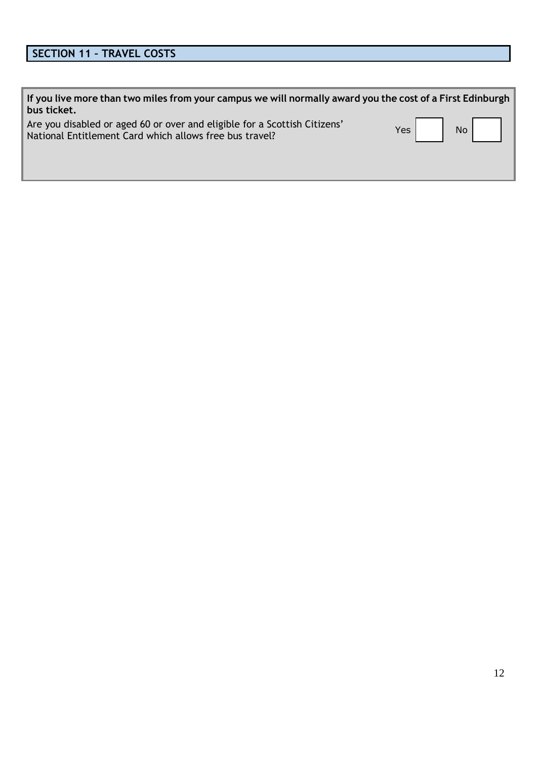# **SECTION 11 – TRAVEL COSTS**

| If you live more than two miles from your campus we will normally award you the cost of a First Edinburgh<br>bus ticket.             |        |  |
|--------------------------------------------------------------------------------------------------------------------------------------|--------|--|
| Are you disabled or aged 60 or over and eligible for a Scottish Citizens'<br>National Entitlement Card which allows free bus travel? | Yes No |  |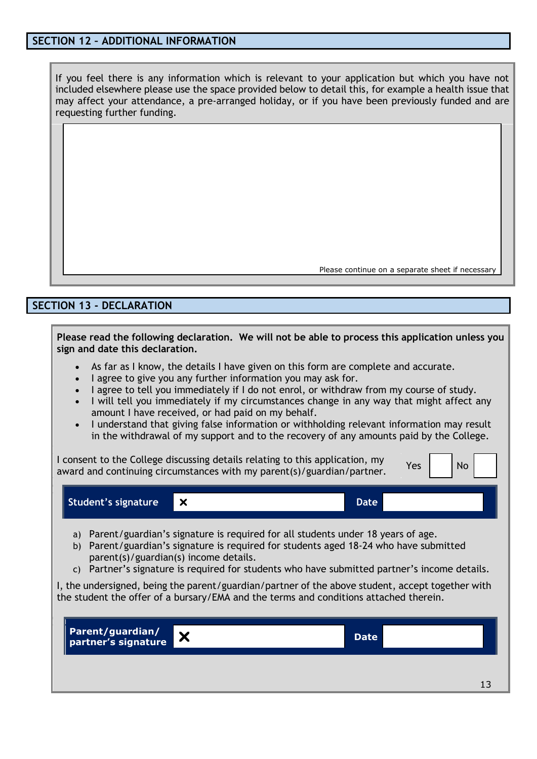#### **SECTION 12 – ADDITIONAL INFORMATION**

If you feel there is any information which is relevant to your application but which you have not included elsewhere please use the space provided below to detail this, for example a health issue that may affect your attendance, a pre-arranged holiday, or if you have been previously funded and are requesting further funding.

Please continue on a separate sheet if necessary

#### **SECTION 13 - DECLARATION**

**Please read the following declaration. We will not be able to process this application unless you sign and date this declaration.**

- As far as I know, the details I have given on this form are complete and accurate.
- I agree to give you any further information you may ask for.
- I agree to tell you immediately if I do not enrol, or withdraw from my course of study.
- I will tell you immediately if my circumstances change in any way that might affect any amount I have received, or had paid on my behalf.
- I understand that giving false information or withholding relevant information may result in the withdrawal of my support and to the recovery of any amounts paid by the College.

I consent to the College discussing details relating to this application, my Tremsent to the college discussing details relating to this application, my  $\gamma_{\text{es}}$   $\gamma_{\text{es}}$  No

**Student's signature X Date** 

- a) Parent/guardian's signature is required for all students under 18 years of age.
- b) Parent/guardian's signature is required for students aged 18-24 who have submitted parent(s)/guardian(s) income details.
- c) Partner's signature is required for students who have submitted partner's income details.

I, the undersigned, being the parent/guardian/partner of the above student, accept together with the student the offer of a bursary/EMA and the terms and conditions attached therein.

| Parent/guardian/<br>partner's signature | <b>Date</b> |
|-----------------------------------------|-------------|
|                                         |             |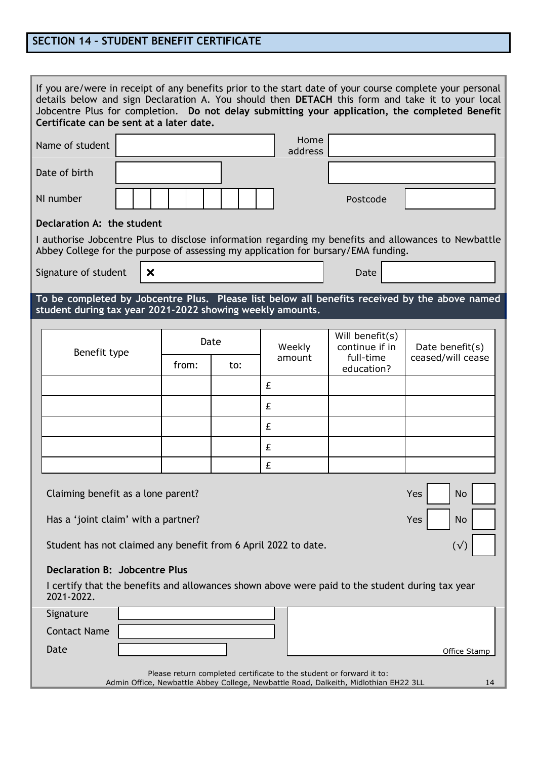### **SECTION 14 – STUDENT BENEFIT CERTIFICATE**

| If you are/were in receipt of any benefits prior to the start date of your course complete your personal<br>details below and sign Declaration A. You should then DETACH this form and take it to your local<br>Jobcentre Plus for completion. Do not delay submitting your application, the completed Benefit<br>Certificate can be sent at a later date. |                                      |  |  |  |
|------------------------------------------------------------------------------------------------------------------------------------------------------------------------------------------------------------------------------------------------------------------------------------------------------------------------------------------------------------|--------------------------------------|--|--|--|
| Home<br>Name of student<br>address                                                                                                                                                                                                                                                                                                                         |                                      |  |  |  |
| Date of birth                                                                                                                                                                                                                                                                                                                                              |                                      |  |  |  |
| NI number<br>Postcode                                                                                                                                                                                                                                                                                                                                      |                                      |  |  |  |
| Declaration A: the student                                                                                                                                                                                                                                                                                                                                 |                                      |  |  |  |
| I authorise Jobcentre Plus to disclose information regarding my benefits and allowances to Newbattle<br>Abbey College for the purpose of assessing my application for bursary/EMA funding.                                                                                                                                                                 |                                      |  |  |  |
| Signature of student<br>$\boldsymbol{\mathsf{x}}$<br>Date                                                                                                                                                                                                                                                                                                  |                                      |  |  |  |
| To be completed by Jobcentre Plus. Please list below all benefits received by the above named                                                                                                                                                                                                                                                              |                                      |  |  |  |
| student during tax year 2021-2022 showing weekly amounts.                                                                                                                                                                                                                                                                                                  |                                      |  |  |  |
| Will benefit(s)<br>Date                                                                                                                                                                                                                                                                                                                                    |                                      |  |  |  |
| Weekly<br>continue if in<br>Benefit type<br>full-time<br>amount<br>from:<br>to:<br>education?                                                                                                                                                                                                                                                              | Date benefit(s)<br>ceased/will cease |  |  |  |
| £                                                                                                                                                                                                                                                                                                                                                          |                                      |  |  |  |
| £                                                                                                                                                                                                                                                                                                                                                          |                                      |  |  |  |
| £                                                                                                                                                                                                                                                                                                                                                          |                                      |  |  |  |
| £                                                                                                                                                                                                                                                                                                                                                          |                                      |  |  |  |
| £                                                                                                                                                                                                                                                                                                                                                          |                                      |  |  |  |
| Claiming benefit as a lone parent?<br>Yes<br>No                                                                                                                                                                                                                                                                                                            |                                      |  |  |  |
| Has a 'joint claim' with a partner?<br><b>Yes</b><br>No                                                                                                                                                                                                                                                                                                    |                                      |  |  |  |
| Student has not claimed any benefit from 6 April 2022 to date.<br>$(\sqrt{2})$                                                                                                                                                                                                                                                                             |                                      |  |  |  |
| <b>Declaration B: Jobcentre Plus</b>                                                                                                                                                                                                                                                                                                                       |                                      |  |  |  |
| I certify that the benefits and allowances shown above were paid to the student during tax year<br>2021-2022.                                                                                                                                                                                                                                              |                                      |  |  |  |
| Signature                                                                                                                                                                                                                                                                                                                                                  |                                      |  |  |  |
| <b>Contact Name</b>                                                                                                                                                                                                                                                                                                                                        |                                      |  |  |  |
| Date<br>Office Stamp                                                                                                                                                                                                                                                                                                                                       |                                      |  |  |  |
| Please return completed certificate to the student or forward it to:                                                                                                                                                                                                                                                                                       |                                      |  |  |  |
| Admin Office, Newbattle Abbey College, Newbattle Road, Dalkeith, Midlothian EH22 3LL                                                                                                                                                                                                                                                                       | 14                                   |  |  |  |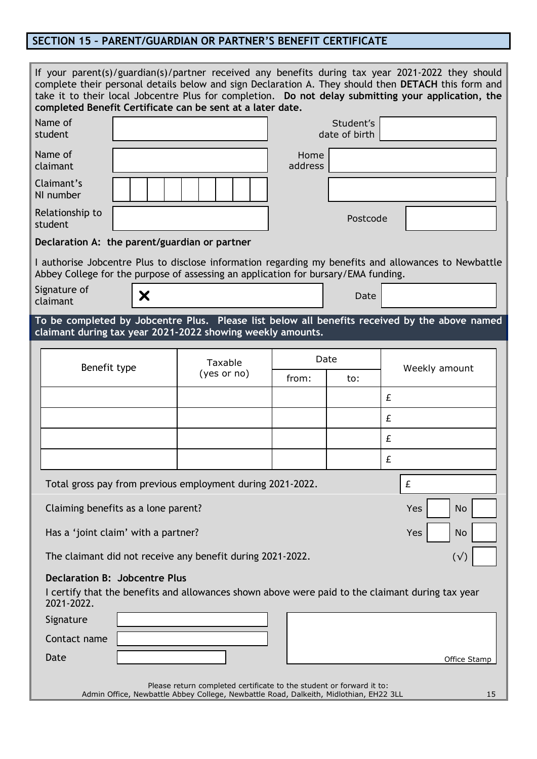# **SECTION 15 – PARENT/GUARDIAN OR PARTNER'S BENEFIT CERTIFICATE**

|                                                                                                                                                                     |                                     | If your parent(s)/guardian(s)/partner received any benefits during tax year 2021-2022 they should<br>complete their personal details below and sign Declaration A. They should then DETACH this form and<br>take it to their local Jobcentre Plus for completion. Do not delay submitting your application, the<br>completed Benefit Certificate can be sent at a later date. |                 |                            |     |               |
|---------------------------------------------------------------------------------------------------------------------------------------------------------------------|-------------------------------------|-------------------------------------------------------------------------------------------------------------------------------------------------------------------------------------------------------------------------------------------------------------------------------------------------------------------------------------------------------------------------------|-----------------|----------------------------|-----|---------------|
| Name of<br>student                                                                                                                                                  |                                     |                                                                                                                                                                                                                                                                                                                                                                               |                 | Student's<br>date of birth |     |               |
| Name of<br>claimant                                                                                                                                                 |                                     |                                                                                                                                                                                                                                                                                                                                                                               | Home<br>address |                            |     |               |
| Claimant's<br>NI number                                                                                                                                             |                                     |                                                                                                                                                                                                                                                                                                                                                                               |                 |                            |     |               |
| Relationship to<br>student                                                                                                                                          |                                     |                                                                                                                                                                                                                                                                                                                                                                               |                 | Postcode                   |     |               |
|                                                                                                                                                                     |                                     | Declaration A: the parent/guardian or partner                                                                                                                                                                                                                                                                                                                                 |                 |                            |     |               |
|                                                                                                                                                                     |                                     | I authorise Jobcentre Plus to disclose information regarding my benefits and allowances to Newbattle<br>Abbey College for the purpose of assessing an application for bursary/EMA funding.                                                                                                                                                                                    |                 |                            |     |               |
| Signature of<br>claimant                                                                                                                                            | Х                                   |                                                                                                                                                                                                                                                                                                                                                                               |                 | Date                       |     |               |
|                                                                                                                                                                     |                                     | To be completed by Jobcentre Plus. Please list below all benefits received by the above named                                                                                                                                                                                                                                                                                 |                 |                            |     |               |
|                                                                                                                                                                     |                                     | claimant during tax year 2021-2022 showing weekly amounts.                                                                                                                                                                                                                                                                                                                    |                 |                            |     |               |
|                                                                                                                                                                     |                                     | Taxable                                                                                                                                                                                                                                                                                                                                                                       |                 | Date                       |     |               |
|                                                                                                                                                                     | Benefit type                        | (yes or no)                                                                                                                                                                                                                                                                                                                                                                   | from:           | to:                        |     | Weekly amount |
|                                                                                                                                                                     |                                     |                                                                                                                                                                                                                                                                                                                                                                               |                 |                            | £   |               |
|                                                                                                                                                                     |                                     |                                                                                                                                                                                                                                                                                                                                                                               |                 |                            | £   |               |
|                                                                                                                                                                     |                                     |                                                                                                                                                                                                                                                                                                                                                                               |                 |                            | £   |               |
|                                                                                                                                                                     |                                     |                                                                                                                                                                                                                                                                                                                                                                               |                 |                            | £   |               |
|                                                                                                                                                                     |                                     | Total gross pay from previous employment during 2021-2022.                                                                                                                                                                                                                                                                                                                    |                 |                            | £   |               |
|                                                                                                                                                                     | Claiming benefits as a lone parent? |                                                                                                                                                                                                                                                                                                                                                                               |                 |                            | Yes | No            |
| Has a 'joint claim' with a partner?<br><b>No</b><br>Yes                                                                                                             |                                     |                                                                                                                                                                                                                                                                                                                                                                               |                 |                            |     |               |
| The claimant did not receive any benefit during 2021-2022.<br>$(\sqrt{2})$                                                                                          |                                     |                                                                                                                                                                                                                                                                                                                                                                               |                 |                            |     |               |
| <b>Declaration B: Jobcentre Plus</b><br>I certify that the benefits and allowances shown above were paid to the claimant during tax year<br>2021-2022.              |                                     |                                                                                                                                                                                                                                                                                                                                                                               |                 |                            |     |               |
| Signature                                                                                                                                                           |                                     |                                                                                                                                                                                                                                                                                                                                                                               |                 |                            |     |               |
| Contact name                                                                                                                                                        |                                     |                                                                                                                                                                                                                                                                                                                                                                               |                 |                            |     |               |
| Date<br>Office Stamp                                                                                                                                                |                                     |                                                                                                                                                                                                                                                                                                                                                                               |                 |                            |     |               |
| Please return completed certificate to the student or forward it to:<br>Admin Office, Newbattle Abbey College, Newbattle Road, Dalkeith, Midlothian, EH22 3LL<br>15 |                                     |                                                                                                                                                                                                                                                                                                                                                                               |                 |                            |     |               |
|                                                                                                                                                                     |                                     |                                                                                                                                                                                                                                                                                                                                                                               |                 |                            |     |               |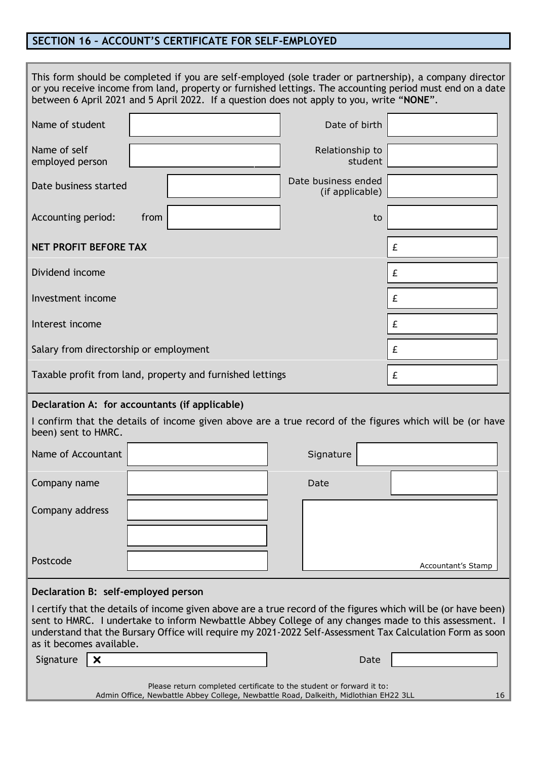### **SECTION 16 – ACCOUNT'S CERTIFICATE FOR SELF-EMPLOYED**

|                                                                                                                                                                                                                                                                                                                                                                  | This form should be completed if you are self-employed (sole trader or partnership), a company director<br>or you receive income from land, property or furnished lettings. The accounting period must end on a date<br>between 6 April 2021 and 5 April 2022. If a question does not apply to you, write "NONE". |                                        |                    |  |
|------------------------------------------------------------------------------------------------------------------------------------------------------------------------------------------------------------------------------------------------------------------------------------------------------------------------------------------------------------------|-------------------------------------------------------------------------------------------------------------------------------------------------------------------------------------------------------------------------------------------------------------------------------------------------------------------|----------------------------------------|--------------------|--|
| Name of student                                                                                                                                                                                                                                                                                                                                                  |                                                                                                                                                                                                                                                                                                                   | Date of birth                          |                    |  |
| Name of self<br>employed person                                                                                                                                                                                                                                                                                                                                  |                                                                                                                                                                                                                                                                                                                   | Relationship to<br>student             |                    |  |
| Date business started                                                                                                                                                                                                                                                                                                                                            |                                                                                                                                                                                                                                                                                                                   | Date business ended<br>(if applicable) |                    |  |
| Accounting period:                                                                                                                                                                                                                                                                                                                                               | from                                                                                                                                                                                                                                                                                                              |                                        | to                 |  |
| <b>NET PROFIT BEFORE TAX</b>                                                                                                                                                                                                                                                                                                                                     |                                                                                                                                                                                                                                                                                                                   |                                        | £                  |  |
| Dividend income                                                                                                                                                                                                                                                                                                                                                  |                                                                                                                                                                                                                                                                                                                   |                                        | £                  |  |
| Investment income                                                                                                                                                                                                                                                                                                                                                |                                                                                                                                                                                                                                                                                                                   |                                        | £                  |  |
| Interest income                                                                                                                                                                                                                                                                                                                                                  |                                                                                                                                                                                                                                                                                                                   |                                        | £                  |  |
| Salary from directorship or employment                                                                                                                                                                                                                                                                                                                           |                                                                                                                                                                                                                                                                                                                   |                                        | £                  |  |
|                                                                                                                                                                                                                                                                                                                                                                  | Taxable profit from land, property and furnished lettings                                                                                                                                                                                                                                                         |                                        | £                  |  |
|                                                                                                                                                                                                                                                                                                                                                                  | Declaration A: for accountants (if applicable)                                                                                                                                                                                                                                                                    |                                        |                    |  |
| I confirm that the details of income given above are a true record of the figures which will be (or have<br>been) sent to HMRC.                                                                                                                                                                                                                                  |                                                                                                                                                                                                                                                                                                                   |                                        |                    |  |
| Name of Accountant                                                                                                                                                                                                                                                                                                                                               |                                                                                                                                                                                                                                                                                                                   | Signature                              |                    |  |
| Company name                                                                                                                                                                                                                                                                                                                                                     |                                                                                                                                                                                                                                                                                                                   | Date                                   |                    |  |
| Company address                                                                                                                                                                                                                                                                                                                                                  |                                                                                                                                                                                                                                                                                                                   |                                        |                    |  |
|                                                                                                                                                                                                                                                                                                                                                                  |                                                                                                                                                                                                                                                                                                                   |                                        |                    |  |
| Postcode                                                                                                                                                                                                                                                                                                                                                         |                                                                                                                                                                                                                                                                                                                   |                                        | Accountant's Stamp |  |
| Declaration B: self-employed person                                                                                                                                                                                                                                                                                                                              |                                                                                                                                                                                                                                                                                                                   |                                        |                    |  |
| I certify that the details of income given above are a true record of the figures which will be (or have been)<br>sent to HMRC. I undertake to inform Newbattle Abbey College of any changes made to this assessment. I<br>understand that the Bursary Office will require my 2021-2022 Self-Assessment Tax Calculation Form as soon<br>as it becomes available. |                                                                                                                                                                                                                                                                                                                   |                                        |                    |  |
| Signature<br>X                                                                                                                                                                                                                                                                                                                                                   |                                                                                                                                                                                                                                                                                                                   |                                        | Date               |  |
| Please return completed certificate to the student or forward it to:<br>Admin Office, Newbattle Abbey College, Newbattle Road, Dalkeith, Midlothian EH22 3LL<br>16                                                                                                                                                                                               |                                                                                                                                                                                                                                                                                                                   |                                        |                    |  |